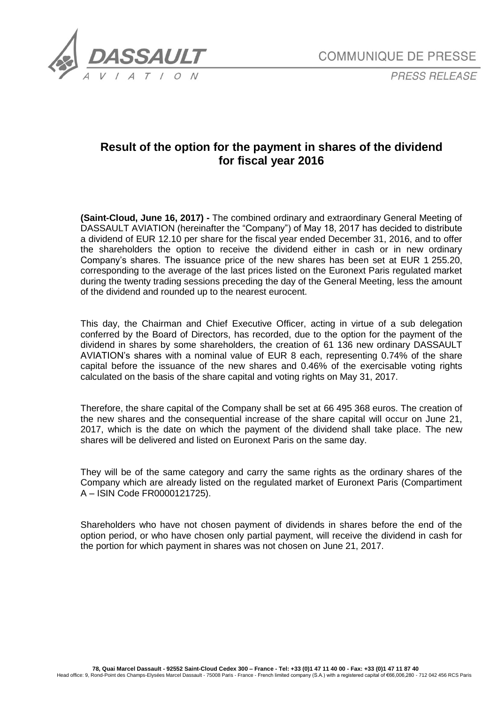

*PRESS RELEASE*

## **Result of the option for the payment in shares of the dividend for fiscal year 2016**

**(Saint-Cloud, June 16, 2017) -** The combined ordinary and extraordinary General Meeting of DASSAULT AVIATION (hereinafter the "Company") of May 18, 2017 has decided to distribute a dividend of EUR 12.10 per share for the fiscal year ended December 31, 2016, and to offer the shareholders the option to receive the dividend either in cash or in new ordinary Company's shares. The issuance price of the new shares has been set at EUR 1 255.20, corresponding to the average of the last prices listed on the Euronext Paris regulated market during the twenty trading sessions preceding the day of the General Meeting, less the amount of the dividend and rounded up to the nearest eurocent.

This day, the Chairman and Chief Executive Officer, acting in virtue of a sub delegation conferred by the Board of Directors, has recorded, due to the option for the payment of the dividend in shares by some shareholders, the creation of 61 136 new ordinary DASSAULT AVIATION's shares with a nominal value of EUR 8 each, representing 0.74% of the share capital before the issuance of the new shares and 0.46% of the exercisable voting rights calculated on the basis of the share capital and voting rights on May 31, 2017.

Therefore, the share capital of the Company shall be set at 66 495 368 euros. The creation of the new shares and the consequential increase of the share capital will occur on June 21, 2017, which is the date on which the payment of the dividend shall take place. The new shares will be delivered and listed on Euronext Paris on the same day.

They will be of the same category and carry the same rights as the ordinary shares of the Company which are already listed on the regulated market of Euronext Paris (Compartiment A – ISIN Code FR0000121725).

Shareholders who have not chosen payment of dividends in shares before the end of the option period, or who have chosen only partial payment, will receive the dividend in cash for the portion for which payment in shares was not chosen on June 21, 2017.